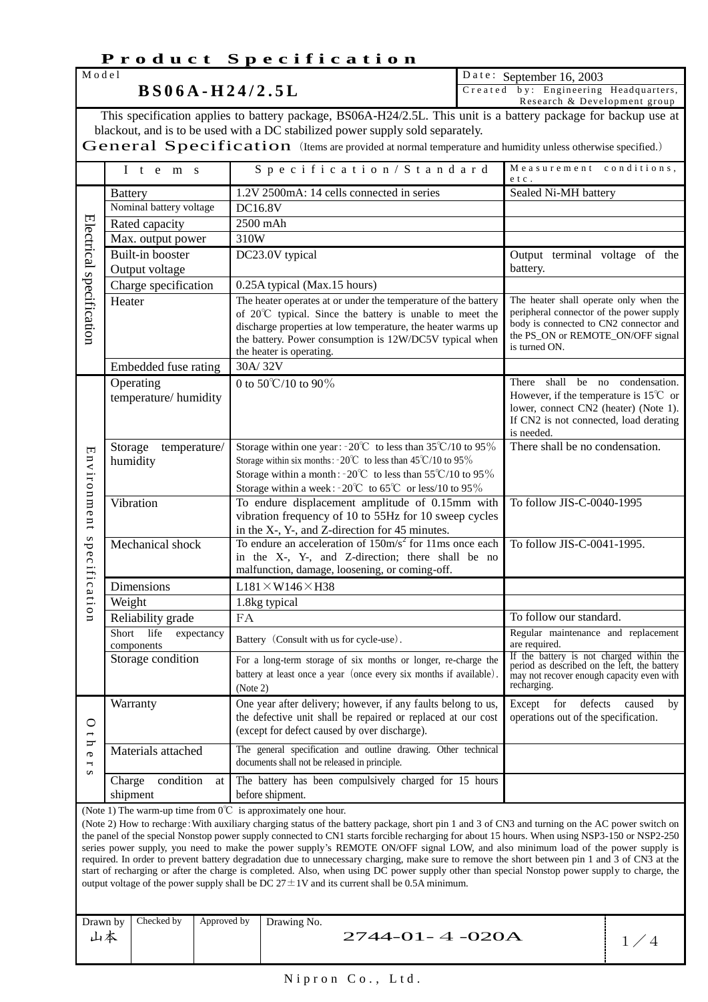|                          |                                                                                       |                          | Product Specification                                                                                                                                                                                                                                                                                                                                                                                                                                                                                                                                                                                                                                                                                                                                                                                                                                       |                                                                       |                                                                                                                                                                                      |     |
|--------------------------|---------------------------------------------------------------------------------------|--------------------------|-------------------------------------------------------------------------------------------------------------------------------------------------------------------------------------------------------------------------------------------------------------------------------------------------------------------------------------------------------------------------------------------------------------------------------------------------------------------------------------------------------------------------------------------------------------------------------------------------------------------------------------------------------------------------------------------------------------------------------------------------------------------------------------------------------------------------------------------------------------|-----------------------------------------------------------------------|--------------------------------------------------------------------------------------------------------------------------------------------------------------------------------------|-----|
| Model                    |                                                                                       | Date: September 16, 2003 |                                                                                                                                                                                                                                                                                                                                                                                                                                                                                                                                                                                                                                                                                                                                                                                                                                                             |                                                                       |                                                                                                                                                                                      |     |
|                          | $BS06A - H24/2.5L$                                                                    |                          |                                                                                                                                                                                                                                                                                                                                                                                                                                                                                                                                                                                                                                                                                                                                                                                                                                                             | Created by: Engineering Headquarters,<br>Research & Development group |                                                                                                                                                                                      |     |
|                          |                                                                                       |                          | This specification applies to battery package, BS06A-H24/2.5L. This unit is a battery package for backup use at                                                                                                                                                                                                                                                                                                                                                                                                                                                                                                                                                                                                                                                                                                                                             |                                                                       |                                                                                                                                                                                      |     |
|                          |                                                                                       |                          | blackout, and is to be used with a DC stabilized power supply sold separately.                                                                                                                                                                                                                                                                                                                                                                                                                                                                                                                                                                                                                                                                                                                                                                              |                                                                       |                                                                                                                                                                                      |     |
|                          |                                                                                       |                          | General Specification (Items are provided at normal temperature and humidity unless otherwise specified.)                                                                                                                                                                                                                                                                                                                                                                                                                                                                                                                                                                                                                                                                                                                                                   |                                                                       |                                                                                                                                                                                      |     |
|                          | I t e m s                                                                             |                          | Specification / Standard                                                                                                                                                                                                                                                                                                                                                                                                                                                                                                                                                                                                                                                                                                                                                                                                                                    |                                                                       | Measurement conditions,<br>etc.                                                                                                                                                      |     |
|                          | <b>Battery</b>                                                                        |                          | 1.2V 2500mA: 14 cells connected in series                                                                                                                                                                                                                                                                                                                                                                                                                                                                                                                                                                                                                                                                                                                                                                                                                   |                                                                       | Sealed Ni-MH battery                                                                                                                                                                 |     |
|                          | Nominal battery voltage                                                               |                          | <b>DC16.8V</b>                                                                                                                                                                                                                                                                                                                                                                                                                                                                                                                                                                                                                                                                                                                                                                                                                                              |                                                                       |                                                                                                                                                                                      |     |
|                          | Rated capacity                                                                        |                          | 2500 mAh                                                                                                                                                                                                                                                                                                                                                                                                                                                                                                                                                                                                                                                                                                                                                                                                                                                    |                                                                       |                                                                                                                                                                                      |     |
|                          | Max. output power                                                                     |                          | 310W                                                                                                                                                                                                                                                                                                                                                                                                                                                                                                                                                                                                                                                                                                                                                                                                                                                        |                                                                       |                                                                                                                                                                                      |     |
|                          | <b>Built-in booster</b><br>Output voltage                                             |                          | DC23.0V typical                                                                                                                                                                                                                                                                                                                                                                                                                                                                                                                                                                                                                                                                                                                                                                                                                                             |                                                                       | Output terminal voltage of the<br>battery.                                                                                                                                           |     |
|                          | Charge specification                                                                  |                          | 0.25A typical (Max.15 hours)                                                                                                                                                                                                                                                                                                                                                                                                                                                                                                                                                                                                                                                                                                                                                                                                                                |                                                                       |                                                                                                                                                                                      |     |
| Electrical specification | Heater                                                                                |                          | The heater operates at or under the temperature of the battery<br>of 20°C typical. Since the battery is unable to meet the<br>discharge properties at low temperature, the heater warms up<br>the battery. Power consumption is 12W/DC5V typical when<br>the heater is operating.                                                                                                                                                                                                                                                                                                                                                                                                                                                                                                                                                                           |                                                                       | The heater shall operate only when the<br>peripheral connector of the power supply<br>body is connected to CN2 connector and<br>the PS_ON or REMOTE_ON/OFF signal<br>is turned ON.   |     |
|                          | 30A/32V<br>Embedded fuse rating                                                       |                          |                                                                                                                                                                                                                                                                                                                                                                                                                                                                                                                                                                                                                                                                                                                                                                                                                                                             |                                                                       |                                                                                                                                                                                      |     |
|                          | Operating<br>temperature/humidity                                                     |                          | 0 to 50°C/10 to 90%                                                                                                                                                                                                                                                                                                                                                                                                                                                                                                                                                                                                                                                                                                                                                                                                                                         |                                                                       | There shall be no condensation.<br>However, if the temperature is $15^{\circ}$ C or<br>lower, connect CN2 (heater) (Note 1).<br>If CN2 is not connected, load derating<br>is needed. |     |
|                          | Storage<br>temperature/                                                               |                          | Storage within one year: $-20^{\circ}\text{C}$ to less than 35°C/10 to 95%                                                                                                                                                                                                                                                                                                                                                                                                                                                                                                                                                                                                                                                                                                                                                                                  |                                                                       | There shall be no condensation.                                                                                                                                                      |     |
|                          | humidity                                                                              |                          | Storage within six months: $-20^{\circ}\text{C}$ to less than 45°C/10 to 95%<br>Storage within a month: -20°C to less than $55^{\circ}$ C/10 to 95%                                                                                                                                                                                                                                                                                                                                                                                                                                                                                                                                                                                                                                                                                                         |                                                                       |                                                                                                                                                                                      |     |
|                          |                                                                                       |                          | Storage within a week: -20°C to 65°C or less/10 to 95%                                                                                                                                                                                                                                                                                                                                                                                                                                                                                                                                                                                                                                                                                                                                                                                                      |                                                                       |                                                                                                                                                                                      |     |
| Environment<br>specifi   | Vibration                                                                             |                          | To endure displacement amplitude of 0.15mm with<br>vibration frequency of 10 to 55Hz for 10 sweep cycles<br>in the X-, Y-, and Z-direction for 45 minutes.                                                                                                                                                                                                                                                                                                                                                                                                                                                                                                                                                                                                                                                                                                  |                                                                       | To follow JIS-C-0040-1995                                                                                                                                                            |     |
|                          | Mechanical shock                                                                      |                          | To endure an acceleration of $150 \text{m/s}^2$ for 11ms once each<br>in the X-, Y-, and Z-direction; there shall be no<br>malfunction, damage, loosening, or coming-off.                                                                                                                                                                                                                                                                                                                                                                                                                                                                                                                                                                                                                                                                                   |                                                                       | To follow JIS-C-0041-1995.                                                                                                                                                           |     |
|                          | Dimensions                                                                            |                          | $L181 \times W146 \times H38$                                                                                                                                                                                                                                                                                                                                                                                                                                                                                                                                                                                                                                                                                                                                                                                                                               |                                                                       |                                                                                                                                                                                      |     |
| cation                   | Weight                                                                                |                          | 1.8kg typical                                                                                                                                                                                                                                                                                                                                                                                                                                                                                                                                                                                                                                                                                                                                                                                                                                               |                                                                       |                                                                                                                                                                                      |     |
|                          | Reliability grade                                                                     | FA                       |                                                                                                                                                                                                                                                                                                                                                                                                                                                                                                                                                                                                                                                                                                                                                                                                                                                             |                                                                       | To follow our standard.                                                                                                                                                              |     |
|                          | life<br>Short<br>components                                                           | expectancy               | Battery (Consult with us for cycle-use).                                                                                                                                                                                                                                                                                                                                                                                                                                                                                                                                                                                                                                                                                                                                                                                                                    |                                                                       | Regular maintenance and replacement<br>are required.                                                                                                                                 |     |
|                          | Storage condition                                                                     |                          | For a long-term storage of six months or longer, re-charge the<br>battery at least once a year (once every six months if available).<br>(Note 2)                                                                                                                                                                                                                                                                                                                                                                                                                                                                                                                                                                                                                                                                                                            |                                                                       | If the battery is not charged within the<br>period as described on the left, the battery<br>may not recover enough capacity even with<br>recharging.                                 |     |
| $\circ$<br>$\rightarrow$ | Warranty                                                                              |                          | One year after delivery; however, if any faults belong to us,<br>the defective unit shall be repaired or replaced at our cost<br>(except for defect caused by over discharge).                                                                                                                                                                                                                                                                                                                                                                                                                                                                                                                                                                                                                                                                              |                                                                       | defects<br>Except<br>for<br>caused<br>by<br>operations out of the specification.                                                                                                     |     |
| μ<br>Ф<br>ī              | Materials attached                                                                    |                          | The general specification and outline drawing. Other technical<br>documents shall not be released in principle.                                                                                                                                                                                                                                                                                                                                                                                                                                                                                                                                                                                                                                                                                                                                             |                                                                       |                                                                                                                                                                                      |     |
| S                        | condition<br>Charge<br>shipment                                                       | at                       | The battery has been compulsively charged for 15 hours<br>before shipment.                                                                                                                                                                                                                                                                                                                                                                                                                                                                                                                                                                                                                                                                                                                                                                                  |                                                                       |                                                                                                                                                                                      |     |
| Drawn by                 | (Note 1) The warm-up time from $0^{\circ}$ C is approximately one hour.<br>Checked by | Approved by              | (Note 2) How to recharge: With auxiliary charging status of the battery package, short pin 1 and 3 of CN3 and turning on the AC power switch on<br>the panel of the special Nonstop power supply connected to CN1 starts forcible recharging for about 15 hours. When using NSP3-150 or NSP2-250<br>series power supply, you need to make the power supply's REMOTE ON/OFF signal LOW, and also minimum load of the power supply is<br>required. In order to prevent battery degradation due to unnecessary charging, make sure to remove the short between pin 1 and 3 of CN3 at the<br>start of recharging or after the charge is completed. Also, when using DC power supply other than special Nonstop power supply to charge, the<br>output voltage of the power supply shall be DC $27 \pm 1$ V and its current shall be 0.5A minimum.<br>Drawing No. |                                                                       |                                                                                                                                                                                      |     |
| 山本                       |                                                                                       |                          | 2744-01-4-020A                                                                                                                                                                                                                                                                                                                                                                                                                                                                                                                                                                                                                                                                                                                                                                                                                                              |                                                                       |                                                                                                                                                                                      | 1/4 |

Nipron Co., Ltd.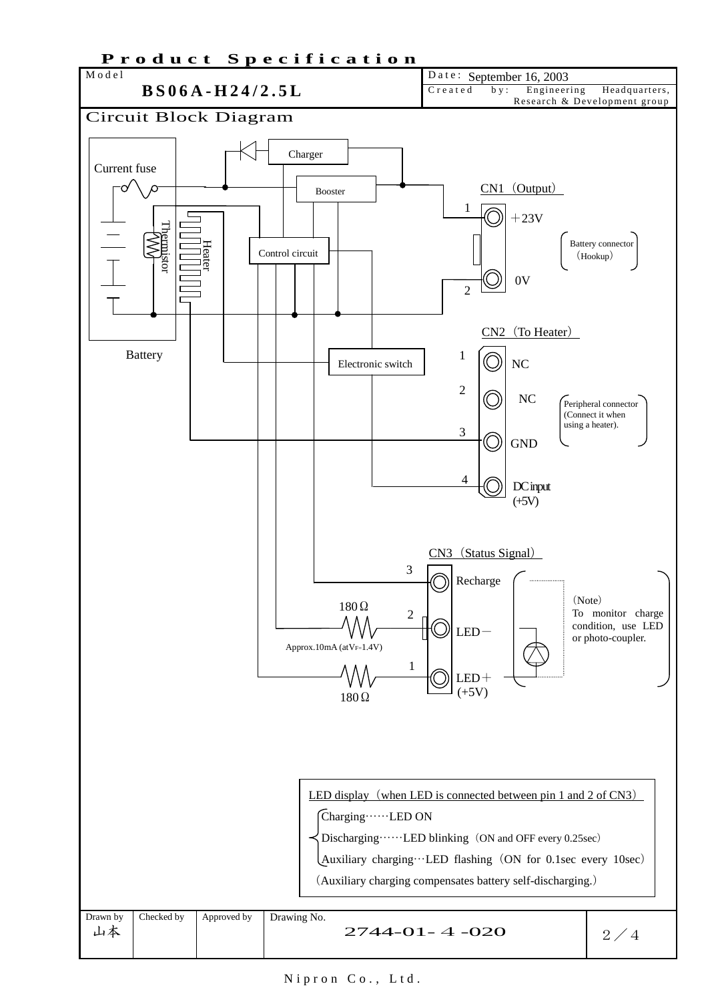

Nipron Co., Ltd.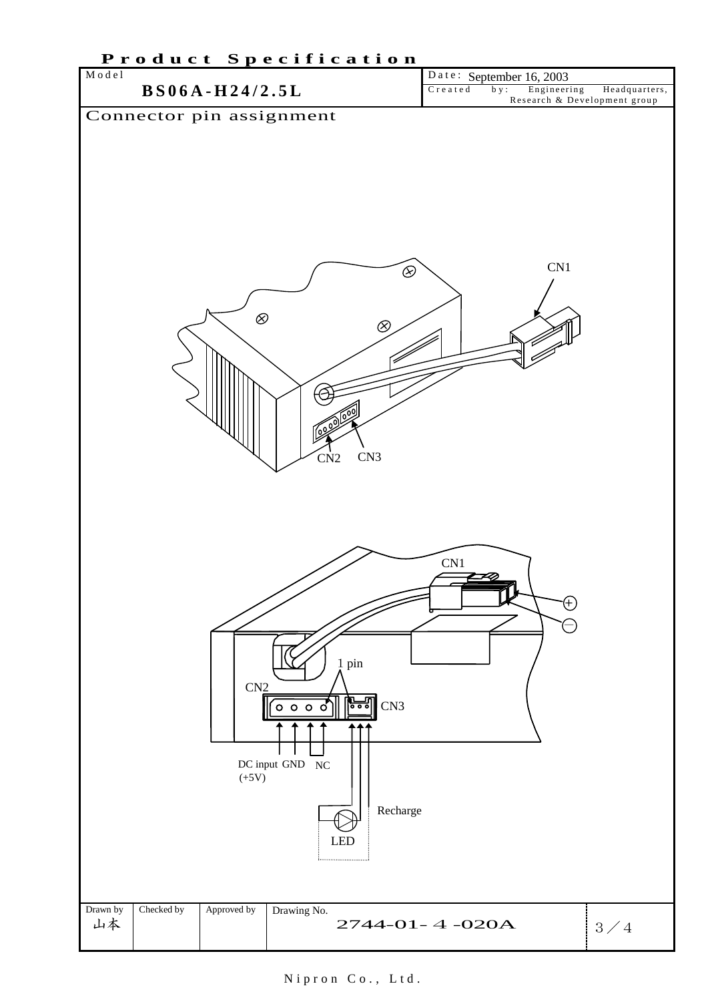

Nipron Co., Ltd.